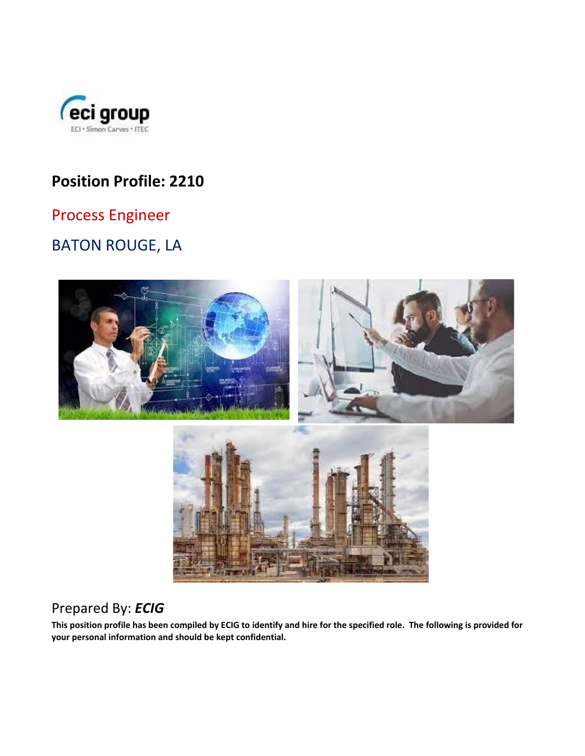

# **Position Profile: 2210**

## Process Engineer

# BATON ROUGE, LA



## Prepared By: *ECIG*

**This position profile has been compiled by ECIG to identify and hire for the specified role. The following is provided for your personal information and should be kept confidential.**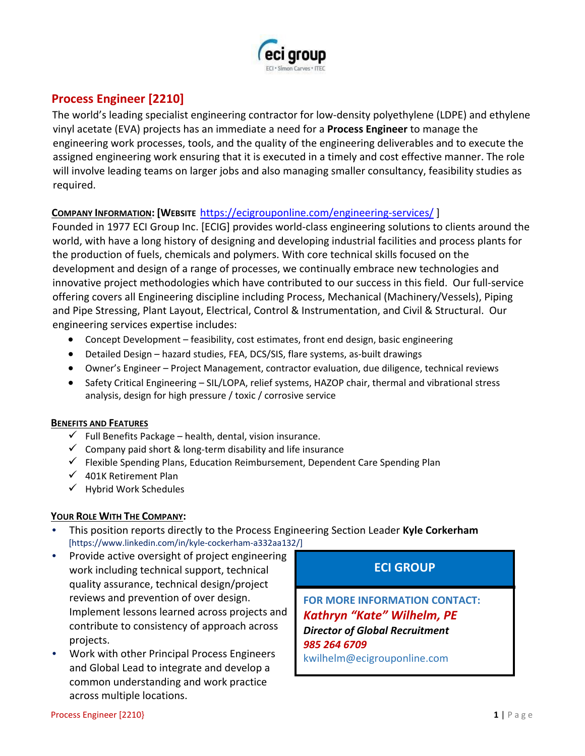

### **Process Engineer [2210]**

The world's leading specialist engineering contractor for low-density polyethylene (LDPE) and ethylene vinyl acetate (EVA) projects has an immediate a need for a **Process Engineer** to manage the engineering work processes, tools, and the quality of the engineering deliverables and to execute the assigned engineering work ensuring that it is executed in a timely and cost effective manner. The role will involve leading teams on larger jobs and also managing smaller consultancy, feasibility studies as required.

#### **COMPANY INFORMATION: [WEBSIT[E](https://ecigrouponline.com/engineering-services/)** <https://ecigrouponline.com/engineering-services/> [\]](https://ecigrouponline.com/engineering-services/)

Founded in 1977 ECI Group Inc. [ECIG] provides world-class engineering solutions to clients around the world, with have a long history of designing and developing industrial facilities and process plants for the production of fuels, chemicals and polymers. With core technical skills focused on the development and design of a range of processes, we continually embrace new technologies and innovative project methodologies which have contributed to our success in this field. Our full-service offering covers all Engineering discipline including Process, Mechanical (Machinery/Vessels), Piping and Pipe Stressing, Plant Layout, Electrical, Control & Instrumentation, and Civil & Structural. Our engineering services expertise includes:

- Concept Development feasibility, cost estimates, front end design, basic engineering
- Detailed Design hazard studies, FEA, DCS/SIS, flare systems, as-built drawings
- Owner's Engineer Project Management, contractor evaluation, due diligence, technical reviews
- Safety Critical Engineering SIL/LOPA, relief systems, HAZOP chair, thermal and vibrational stress analysis, design for high pressure / toxic / corrosive service

#### **BENEFITS AND FEATURES**

- $\checkmark$  Full Benefits Package health, dental, vision insurance.
- $\checkmark$  Company paid short & long-term disability and life insurance
- $\checkmark$  Flexible Spending Plans, Education Reimbursement, Dependent Care Spending Plan
- $\checkmark$  401K Retirement Plan
- $\checkmark$  Hybrid Work Schedules

#### **YOUR ROLE WITH THE COMPANY:**

- This position reports directly to the Process Engineering Section Leader **Kyle Corkerham** [https://www.linkedin.com/in/kyle-cockerham-a332aa132/]
- Provide active oversight of project engineering work including technical support, technical quality assurance, technical design/project reviews and prevention of over design. Implement lessons learned across projects and contribute to consistency of approach across projects.
- Work with other Principal Process Engineers and Global Lead to integrate and develop a common understanding and work practice across multiple locations.

### **ECI GROUP**

**FOR MORE INFORMATION CONTACT:**  *Kathryn "Kate" Wilhelm, PE Director of Global Recruitment 985 264 6709*  kwilhelm@ecigrouponline.com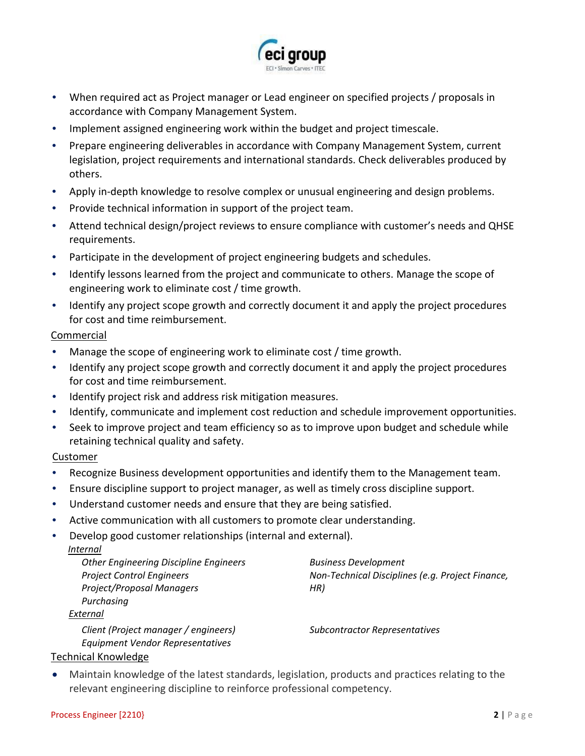

- When required act as Project manager or Lead engineer on specified projects / proposals in accordance with Company Management System.
- Implement assigned engineering work within the budget and project timescale.
- Prepare engineering deliverables in accordance with Company Management System, current legislation, project requirements and international standards. Check deliverables produced by others.
- Apply in-depth knowledge to resolve complex or unusual engineering and design problems.
- Provide technical information in support of the project team.
- Attend technical design/project reviews to ensure compliance with customer's needs and QHSE requirements.
- Participate in the development of project engineering budgets and schedules.
- Identify lessons learned from the project and communicate to others. Manage the scope of engineering work to eliminate cost / time growth.
- Identify any project scope growth and correctly document it and apply the project procedures for cost and time reimbursement.

#### Commercial

- Manage the scope of engineering work to eliminate cost / time growth.
- Identify any project scope growth and correctly document it and apply the project procedures for cost and time reimbursement.
- Identify project risk and address risk mitigation measures.
- Identify, communicate and implement cost reduction and schedule improvement opportunities.
- Seek to improve project and team efficiency so as to improve upon budget and schedule while retaining technical quality and safety.

#### Customer

- Recognize Business development opportunities and identify them to the Management team.
- Ensure discipline support to project manager, as well as timely cross discipline support.
- Understand customer needs and ensure that they are being satisfied.
- Active communication with all customers to promote clear understanding.
- Develop good customer relationships (internal and external).

#### *Internal*

| <b>Other Engineering Discipline Engineers</b><br><b>Project Control Engineers</b> | <b>Business Development</b><br>Non-Technical Disciplines (e.g. Project Finance, |
|-----------------------------------------------------------------------------------|---------------------------------------------------------------------------------|
| Project/Proposal Managers                                                         | HR)                                                                             |
| Purchasing                                                                        |                                                                                 |
| External                                                                          |                                                                                 |
| Client (Project manager / engineers)<br>Equipment Vendor Representatives          | <b>Subcontractor Representatives</b>                                            |
|                                                                                   |                                                                                 |

#### Technical Knowledge

• Maintain knowledge of the latest standards, legislation, products and practices relating to the relevant engineering discipline to reinforce professional competency.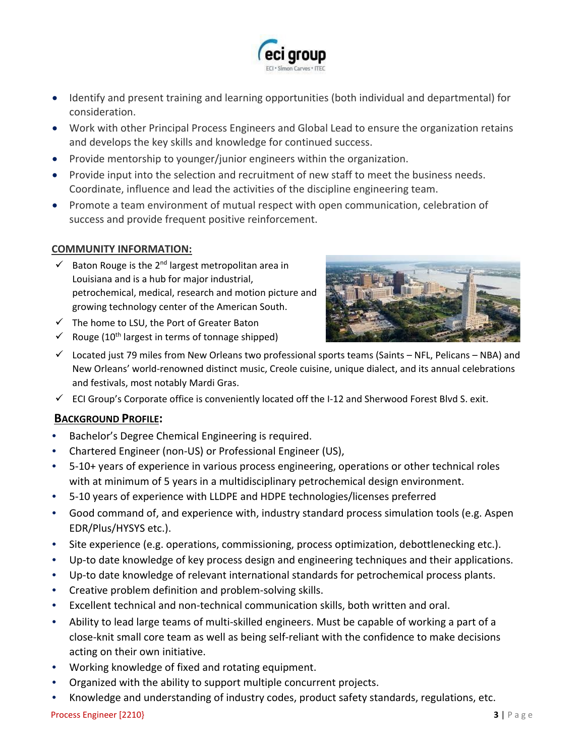

- Identify and present training and learning opportunities (both individual and departmental) for consideration.
- Work with other Principal Process Engineers and Global Lead to ensure the organization retains and develops the key skills and knowledge for continued success.
- Provide mentorship to younger/junior engineers within the organization.
- Provide input into the selection and recruitment of new staff to meet the business needs. Coordinate, influence and lead the activities of the discipline engineering team.
- Promote a team environment of mutual respect with open communication, celebration of success and provide frequent positive reinforcement.

#### **COMMUNITY INFORMATION:**

- $\checkmark$  Baton Rouge is the 2<sup>nd</sup> largest metropolitan area in Louisiana and is a hub for major industrial, petrochemical, medical, research and motion picture and growing technology center of the American South.
- $\checkmark$  The home to LSU, the Port of Greater Baton
- $\checkmark$  Rouge (10<sup>th</sup> largest in terms of tonnage shipped)



- $\checkmark$  Located just 79 miles from New Orleans two professional sports teams (Saints NFL, Pelicans NBA) and New Orleans' world-renowned [distinct music](https://en.wikipedia.org/wiki/Music_of_New_Orleans)[,](https://en.wikipedia.org/wiki/Louisiana_Creole_cuisine) [Creole cuisine](https://en.wikipedia.org/wiki/Louisiana_Creole_cuisine)[,](https://en.wikipedia.org/wiki/New_Orleans_English) [unique dialect,](https://en.wikipedia.org/wiki/New_Orleans_English) and its annual celebrations and festivals, most notabl[y](https://en.wikipedia.org/wiki/Mardi_Gras_in_New_Orleans) [Mardi Gras.](https://en.wikipedia.org/wiki/Mardi_Gras_in_New_Orleans)
- $\checkmark$  ECI Group's Corporate office is conveniently located off the I-12 and Sherwood Forest Blvd S. exit.

#### **BACKGROUND PROFILE:**

- Bachelor's Degree Chemical Engineering is required.
- Chartered Engineer (non-US) or Professional Engineer (US),
- 5-10+ years of experience in various process engineering, operations or other technical roles with at minimum of 5 years in a multidisciplinary petrochemical design environment.
- 5-10 years of experience with LLDPE and HDPE technologies/licenses preferred
- Good command of, and experience with, industry standard process simulation tools (e.g. Aspen EDR/Plus/HYSYS etc.).
- Site experience (e.g. operations, commissioning, process optimization, debottlenecking etc.).
- Up-to date knowledge of key process design and engineering techniques and their applications.
- Up-to date knowledge of relevant international standards for petrochemical process plants.
- Creative problem definition and problem-solving skills.
- Excellent technical and non-technical communication skills, both written and oral.
- Ability to lead large teams of multi-skilled engineers. Must be capable of working a part of a close-knit small core team as well as being self-reliant with the confidence to make decisions acting on their own initiative.
- Working knowledge of fixed and rotating equipment.
- Organized with the ability to support multiple concurrent projects.
- Knowledge and understanding of industry codes, product safety standards, regulations, etc.